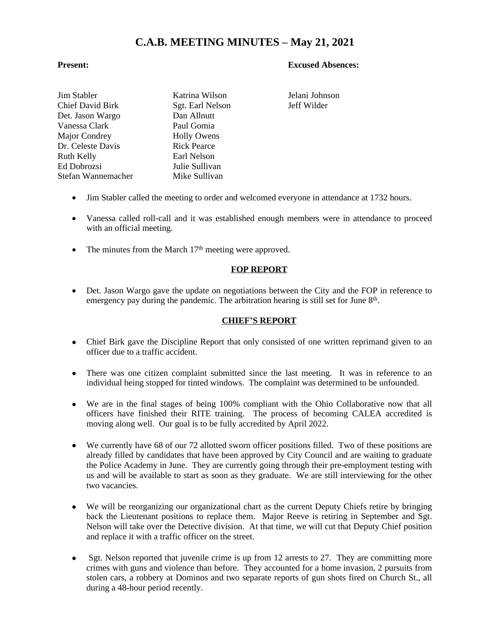## **C.A.B. MEETING MINUTES – May 21, 2021**

#### **Present: Excused Absences:**

| Katrina Wilsor     |
|--------------------|
| Sgt. Earl Nelso    |
| Dan Allnutt        |
| Paul Gomia         |
| <b>Holly Owens</b> |
| <b>Rick Pearce</b> |
| Earl Nelson        |
| Julie Sullivan     |
| Mike Sullivan      |
|                    |

n Stabler Jelani Johnson on Jeff Wilder

- Jim Stabler called the meeting to order and welcomed everyone in attendance at 1732 hours.
- Vanessa called roll-call and it was established enough members were in attendance to proceed with an official meeting.
- The minutes from the March  $17<sup>th</sup>$  meeting were approved.

#### **FOP REPORT**

• Det. Jason Wargo gave the update on negotiations between the City and the FOP in reference to emergency pay during the pandemic. The arbitration hearing is still set for June 8<sup>th</sup>.

#### **CHIEF'S REPORT**

- Chief Birk gave the Discipline Report that only consisted of one written reprimand given to an officer due to a traffic accident.
- There was one citizen complaint submitted since the last meeting. It was in reference to an individual being stopped for tinted windows. The complaint was determined to be unfounded.
- We are in the final stages of being 100% compliant with the Ohio Collaborative now that all officers have finished their RITE training. The process of becoming CALEA accredited is moving along well. Our goal is to be fully accredited by April 2022.
- We currently have 68 of our 72 allotted sworn officer positions filled. Two of these positions are already filled by candidates that have been approved by City Council and are waiting to graduate the Police Academy in June. They are currently going through their pre-employment testing with us and will be available to start as soon as they graduate. We are still interviewing for the other two vacancies.
- We will be reorganizing our organizational chart as the current Deputy Chiefs retire by bringing back the Lieutenant positions to replace them. Major Reeve is retiring in September and Sgt. Nelson will take over the Detective division. At that time, we will cut that Deputy Chief position and replace it with a traffic officer on the street.
- Sgt. Nelson reported that juvenile crime is up from 12 arrests to 27. They are committing more crimes with guns and violence than before. They accounted for a home invasion, 2 pursuits from stolen cars, a robbery at Dominos and two separate reports of gun shots fired on Church St., all during a 48-hour period recently.